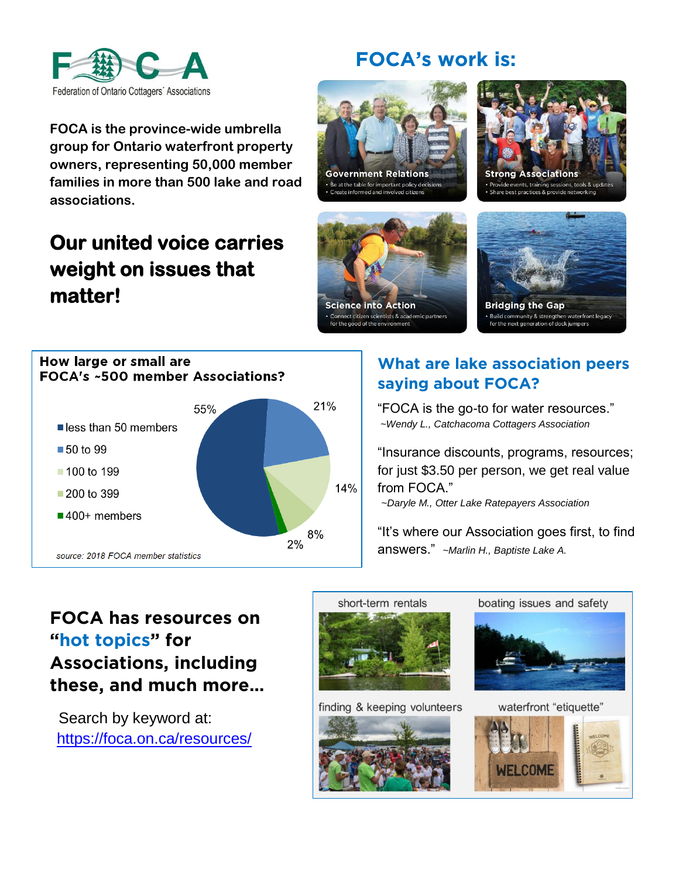

## **FOCA's work is:**

**FOCA is the province-wide umbrella group for Ontario waterfront property owners, representing 50,000 member families in more than 500 lake and road associations.** 

## **Our united voice carries weight on issues that matter!**



**Strong Associations** le events, training sessions, tools & best practices & provide networkir





**Build community & strengthen waterfront legacy**<br>for the next generation of dock jumpers



## **What are lake association peers saying about FOCA?**

"FOCA is the go-to for water resources." *~Wendy L., Catchacoma Cottagers Association*

"Insurance discounts, programs, resources; for just \$3.50 per person, we get real value from FOCA."

*~Daryle M., Otter Lake Ratepayers Association*

"It's where our Association goes first, to find answers." *~Marlin H., Baptiste Lake A.*

## **FOCA has resources on "hot topics" for Associations, including these, and much more…**

 Search by keyword at: <https://foca.on.ca/resources/>



finding & keeping volunteers







waterfront "etiquette"